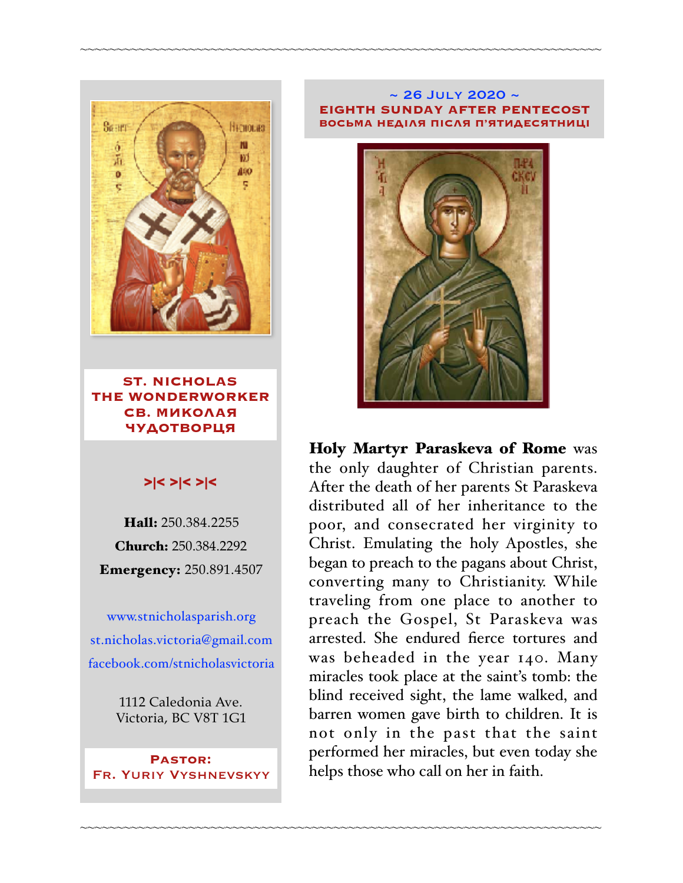

**ST. NICHOLAS THE WONDERWORKER СВ. МИКОЛАЯ ЧУДОТВОРЦЯ**

### >|< >|< >|<

Hall: 250.384.2255 Church: 250.384.2292 Emergency: 250.891.4507

[www.stnicholasparish.org](http://www.stnicholasparish.org) [st.nicholas.victoria@gmail.com](mailto:st.nicholas.victoria@gmail.com) [facebook.com/stnicholasvictoria](http://facebook.com/stnicholasvictoria)

> 1112 Caledonia Ave. Victoria, BC V8T 1G1

**Pastor:**  Fr. Yuriy Vyshnevskyy

#### $\sim$  26 JULY 2020  $\sim$ **EIGHTH SUNDAY AFTER PENTECOST ВОСЬМА НЕДІЛЯ ПІСЛЯ П'ЯТИДЕСЯТНИЦІ**

~~~~~~~~~~~~~~~~~~~~~~~~~~~~~~~~~~~~~~~~~~~~~~~~~~~~~~~~~~~~~~~~~~~~~~~~

~~~~~~~~~~~~~~~~~~~~~~~~~~~~~~~~~~~~~~~~~~~~~~~~~~~~~~~~~~~~~~~~~~~~~~~~



Holy Martyr Paraskeva of Rome was the only daughter of Christian parents. After the death of her parents St Paraskeva distributed all of her inheritance to the poor, and consecrated her virginity to Christ. Emulating the holy Apostles, she began to preach to the pagans about Christ, converting many to Christianity. While traveling from one place to another to preach the Gospel, St Paraskeva was arrested. She endured fierce tortures and was beheaded in the year 140. Many miracles took place at the saint's tomb: the blind received sight, the lame walked, and barren women gave birth to children. It is not only in the past that the saint performed her miracles, but even today she helps those who call on her in faith.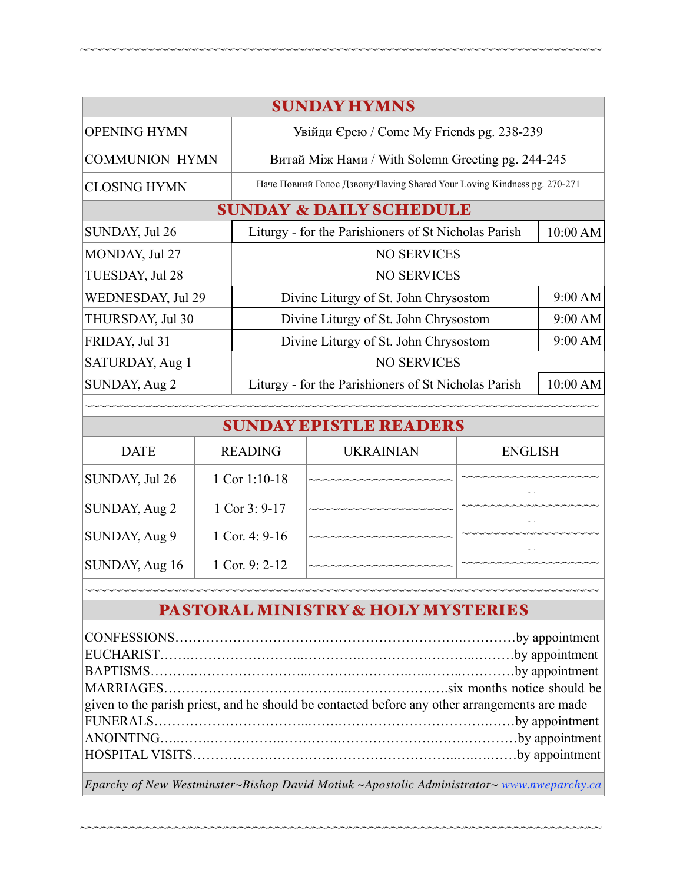| <b>SUNDAY HYMNS</b>                |                |                                                                         |                  |                |          |  |  |  |
|------------------------------------|----------------|-------------------------------------------------------------------------|------------------|----------------|----------|--|--|--|
| <b>OPENING HYMN</b>                |                | Увійди Єрею / Come My Friends pg. 238-239                               |                  |                |          |  |  |  |
| <b>COMMUNION HYMN</b>              |                | Витай Між Нами / With Solemn Greeting pg. 244-245                       |                  |                |          |  |  |  |
| <b>CLOSING HYMN</b>                |                | Наче Повний Голос Дзвону/Having Shared Your Loving Kindness pg. 270-271 |                  |                |          |  |  |  |
| <b>SUNDAY &amp; DAILY SCHEDULE</b> |                |                                                                         |                  |                |          |  |  |  |
| SUNDAY, Jul 26                     |                | Liturgy - for the Parishioners of St Nicholas Parish                    |                  |                | 10:00 AM |  |  |  |
| MONDAY, Jul 27                     |                | <b>NO SERVICES</b>                                                      |                  |                |          |  |  |  |
| TUESDAY, Jul 28                    |                | <b>NO SERVICES</b>                                                      |                  |                |          |  |  |  |
| WEDNESDAY, Jul 29                  |                | Divine Liturgy of St. John Chrysostom                                   |                  |                | 9:00 AM  |  |  |  |
| THURSDAY, Jul 30                   |                | Divine Liturgy of St. John Chrysostom                                   |                  |                | 9:00 AM  |  |  |  |
| FRIDAY, Jul 31                     |                | Divine Liturgy of St. John Chrysostom                                   | 9:00 AM          |                |          |  |  |  |
| SATURDAY, Aug 1                    |                | <b>NO SERVICES</b>                                                      |                  |                |          |  |  |  |
| <b>SUNDAY, Aug 2</b>               |                | Liturgy - for the Parishioners of St Nicholas Parish                    |                  |                | 10:00 AM |  |  |  |
|                                    |                |                                                                         |                  |                |          |  |  |  |
| <b>SUNDAY EPISTLE READERS</b>      |                |                                                                         |                  |                |          |  |  |  |
| <b>DATE</b>                        | <b>READING</b> |                                                                         | <b>UKRAINIAN</b> | <b>ENGLISH</b> |          |  |  |  |
| SUNDAY, Jul 26                     | 1 Cor 1:10-18  |                                                                         |                  |                |          |  |  |  |

~~~~~~~~~~~~~~~~~~~~~~~~~~~~~~~~~~~~~~~~~~~~~~~~~~~~~~~~~~~~~~~~~~~~~~~~

| 501111, 00120  | 1 CUI 1.10 TU    |                     |        |
|----------------|------------------|---------------------|--------|
| SUNDAY, Aug 2  | 1 Cor $3: 9-17$  |                     | $\sim$ |
| SUNDAY, Aug 9  | 1 Cor. 4: $9-16$ | NNNNNNNNNNNNNNNNNNN |        |
| SUNDAY, Aug 16 | 1 Cor. 9: $2-12$ |                     |        |
|                |                  |                     |        |

# PASTORAL MINISTRY & HOLY MYSTERIES

| given to the parish priest, and he should be contacted before any other arrangements are made |  |  |  |  |
|-----------------------------------------------------------------------------------------------|--|--|--|--|
|                                                                                               |  |  |  |  |
|                                                                                               |  |  |  |  |
|                                                                                               |  |  |  |  |
|                                                                                               |  |  |  |  |

*Eparchy of New Westminster~Bishop David Motiuk ~Apostolic Administrator~ [www.nweparchy.ca](http://www.nweparchy.ca)*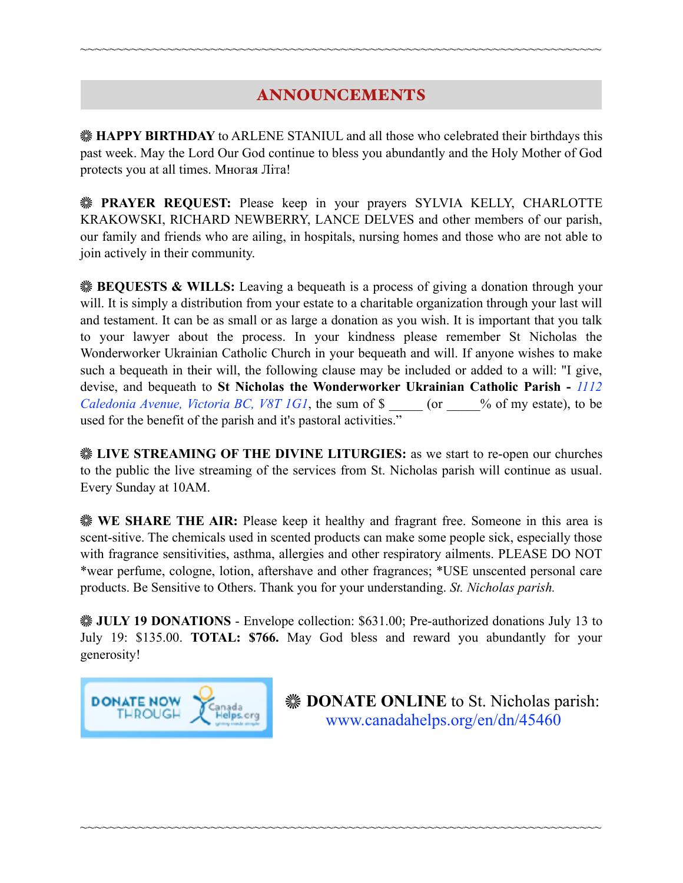## ANNOUNCEMENTS

~~~~~~~~~~~~~~~~~~~~~~~~~~~~~~~~~~~~~~~~~~~~~~~~~~~~~~~~~~~~~~~~~~~~~~~~

**HAPPY BIRTHDAY** to ARLENE STANIUL and all those who celebrated their birthdays this past week. May the Lord Our God continue to bless you abundantly and the Holy Mother of God protects you at all times. Многая Літа!

**PRAYER REQUEST:** Please keep in your prayers SYLVIA KELLY, CHARLOTTE KRAKOWSKI, RICHARD NEWBERRY, LANCE DELVES and other members of our parish, our family and friends who are ailing, in hospitals, nursing homes and those who are not able to join actively in their community.

**BEQUESTS & WILLS:** Leaving a bequeath is a process of giving a donation through your will. It is simply a distribution from your estate to a charitable organization through your last will and testament. It can be as small or as large a donation as you wish. It is important that you talk to your lawyer about the process. In your kindness please remember St Nicholas the Wonderworker Ukrainian Catholic Church in your bequeath and will. If anyone wishes to make such a bequeath in their will, the following clause may be included or added to a will: "I give, devise, and bequeath to **St Nicholas the Wonderworker Ukrainian Catholic Parish -** *1112 Caledonia Avenue, Victoria BC, V8T 1G1*, the sum of \$  $\degree$  (or  $\degree$  % of my estate), to be used for the benefit of the parish and it's pastoral activities."

**EXECUTE STREAMING OF THE DIVINE LITURGIES:** as we start to re-open our churches to the public the live streaming of the services from St. Nicholas parish will continue as usual. Every Sunday at 10AM.

**WE SHARE THE AIR:** Please keep it healthy and fragrant free. Someone in this area is scent-sitive. The chemicals used in scented products can make some people sick, especially those with fragrance sensitivities, asthma, allergies and other respiratory ailments. PLEASE DO NOT \*wear perfume, cologne, lotion, aftershave and other fragrances; \*USE unscented personal care products. Be Sensitive to Others. Thank you for your understanding. *St. Nicholas parish.* 

**WE JULY 19 DONATIONS** - Envelope collection: \$631.00; Pre-authorized donations July 13 to July 19: \$135.00. **TOTAL: \$766.** May God bless and reward you abundantly for your generosity!

~~~~~~~~~~~~~~~~~~~~~~~~~~~~~~~~~~~~~~~~~~~~~~~~~~~~~~~~~~~~~~~~~~~~~~~~



**EXAMPLE ONLINE** to St. Nicholas parish: [www.canadahelps.org/en/dn/45460](http://www.canadahelps.org/en/dn/45460)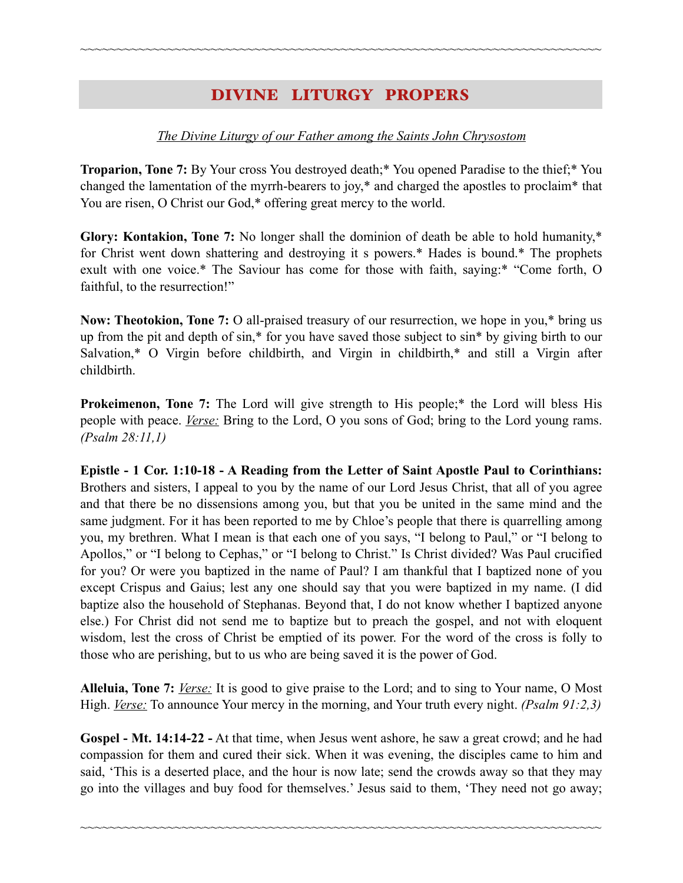## DIVINE LITURGY PROPERS

~~~~~~~~~~~~~~~~~~~~~~~~~~~~~~~~~~~~~~~~~~~~~~~~~~~~~~~~~~~~~~~~~~~~~~~~

#### *The Divine Liturgy of our Father among the Saints John Chrysostom*

**Troparion, Tone 7:** By Your cross You destroyed death;\* You opened Paradise to the thief;\* You changed the lamentation of the myrrh-bearers to joy,\* and charged the apostles to proclaim\* that You are risen, O Christ our God,\* offering great mercy to the world.

**Glory: Kontakion, Tone 7:** No longer shall the dominion of death be able to hold humanity,\* for Christ went down shattering and destroying it s powers.\* Hades is bound.\* The prophets exult with one voice.\* The Saviour has come for those with faith, saying:\* "Come forth, O faithful, to the resurrection!"

**Now: Theotokion, Tone 7:** O all-praised treasury of our resurrection, we hope in you,\* bring us up from the pit and depth of sin,\* for you have saved those subject to sin\* by giving birth to our Salvation,\* O Virgin before childbirth, and Virgin in childbirth,\* and still a Virgin after childbirth.

**Prokeimenon, Tone 7:** The Lord will give strength to His people;<sup>\*</sup> the Lord will bless His people with peace. *Verse:* Bring to the Lord, O you sons of God; bring to the Lord young rams. *(Psalm 28:11,1)* 

**Epistle - 1 Cor. 1:10-18 - A Reading from the Letter of Saint Apostle Paul to Corinthians:**  Brothers and sisters, I appeal to you by the name of our Lord Jesus Christ, that all of you agree and that there be no dissensions among you, but that you be united in the same mind and the same judgment. For it has been reported to me by Chloe's people that there is quarrelling among you, my brethren. What I mean is that each one of you says, "I belong to Paul," or "I belong to Apollos," or "I belong to Cephas," or "I belong to Christ." Is Christ divided? Was Paul crucified for you? Or were you baptized in the name of Paul? I am thankful that I baptized none of you except Crispus and Gaius; lest any one should say that you were baptized in my name. (I did baptize also the household of Stephanas. Beyond that, I do not know whether I baptized anyone else.) For Christ did not send me to baptize but to preach the gospel, and not with eloquent wisdom, lest the cross of Christ be emptied of its power. For the word of the cross is folly to those who are perishing, but to us who are being saved it is the power of God.

**Alleluia, Tone 7:** *Verse:* It is good to give praise to the Lord; and to sing to Your name, O Most High. *<u>Verse:</u>* To announce Your mercy in the morning, and Your truth every night. *(Psalm 91:2,3)* 

**Gospel - Mt. 14:14-22 -** At that time, when Jesus went ashore, he saw a great crowd; and he had compassion for them and cured their sick. When it was evening, the disciples came to him and said, 'This is a deserted place, and the hour is now late; send the crowds away so that they may go into the villages and buy food for themselves.' Jesus said to them, 'They need not go away;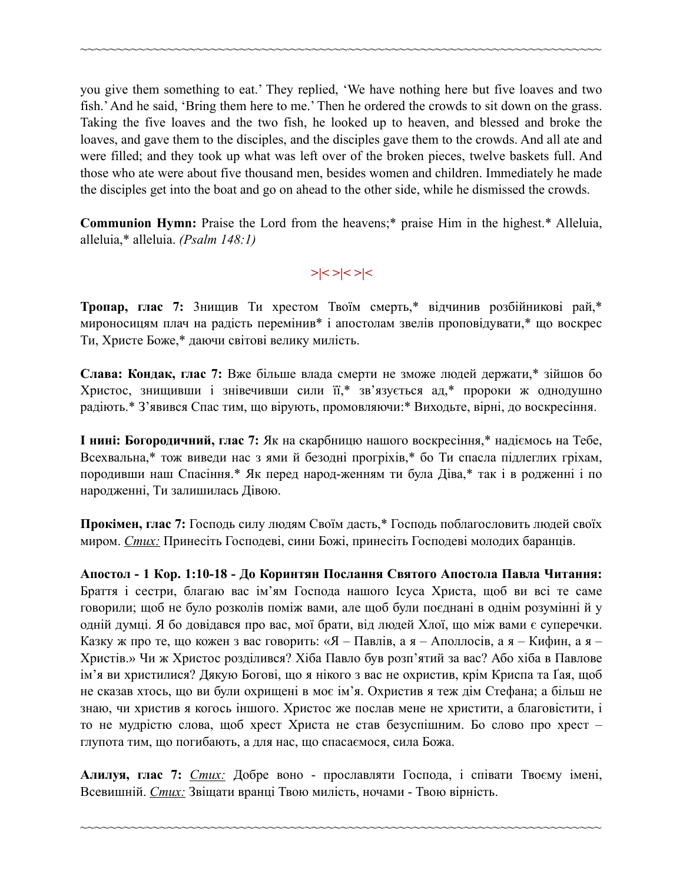you give them something to eat.' They replied, 'We have nothing here but five loaves and two fish.' And he said, 'Bring them here to me.' Then he ordered the crowds to sit down on the grass. Taking the five loaves and the two fish, he looked up to heaven, and blessed and broke the loaves, and gave them to the disciples, and the disciples gave them to the crowds. And all ate and were filled; and they took up what was left over of the broken pieces, twelve baskets full. And those who ate were about five thousand men, besides women and children. Immediately he made the disciples get into the boat and go on ahead to the other side, while he dismissed the crowds.

~~~~~~~~~~~~~~~~~~~~~~~~~~~~~~~~~~~~~~~~~~~~~~~~~~~~~~~~~~~~~~~~~~~~~~~~

**Communion Hymn:** Praise the Lord from the heavens;\* praise Him in the highest.\* Alleluia, alleluia,\* alleluia. *(Psalm 148:1)*

### **>|< >|< >|<**

**Тропар, глас 7:** 3нищив Ти хрестом Твоїм смерть,\* відчинив розбійникові рай,\* мироносицям плач на радість перемінив\* і апостолам звелів проповідувати,\* що воскрес Ти, Христе Боже,\* даючи світові велику милість.

**Слава: Кондак, глас 7:** Вже більше влада смерти не зможе людей держати,\* зійшов бо Христос, знищивши і знівечивши сили її,\* зв'язується ад,\* пророки ж однодушно радіють.\* З'явився Спас тим, що вірують, промовляючи:\* Виходьте, вірні, до воскресіння.

**І нині: Богородичний, глас 7:** Як на скарбницю нашого воскресіння,\* надіємось на Тебе, Всехвальна,\* тож виведи нас з ями й безодні прогріхів,\* бо Ти спасла підлеглих гріхам, породивши наш Спасіння.\* Як перед народ-женням ти була Діва,\* так і в родженні і по народженні, Ти залишилась Дівою.

**Прокімен, глас 7:** Господь силу людям Своїм дасть,\* Господь поблагословить людей своїх миром. *Стих:* Принесіть Господеві, сини Божі, принесіть Господеві молодих баранців.

**Апостол - 1 Кoр. 1:10-18 - До Коринтян Послання Святого Апостола Павла Читання:** Браття і сестри, благаю вас ім'ям Господа нашого Ісуса Христа, щоб ви всі те саме говорили; щоб не було розколів поміж вами, але щоб були поєднані в однім розумінні й у одній думці. Я бо довідався про вас, мої брати, від людей Хлої, що між вами є суперечки. Казку ж про те, що кожен з вас говорить: «Я – Павлів, а я – Аполлосів, а я – Кифин, а я – Христів.» Чи ж Христос розділився? Хіба Павло був розп'ятий за вас? Або хіба в Павлове ім'я ви христилися? Дякую Богові, що я нікого з вас не охристив, крім Криспа та Ґая, щоб не сказав хтось, що ви були охрищені в моє ім'я. Охристив я теж дім Стефана; а більш не знаю, чи христив я когось іншого. Христос же послав мене не христити, а благовістити, і то не мудрістю слова, щоб хрест Христа не став безуспішним. Бо слово про хрест – глупота тим, що погибають, а для нас, що спасаємося, сила Божа.

**Алилуя, глас 7:** *Стих:* Добре воно - прославляти Господа, і співати Твоєму імені, Всевишній. *Стих:* Звіщати вранці Твою милість, ночами - Твою вірність.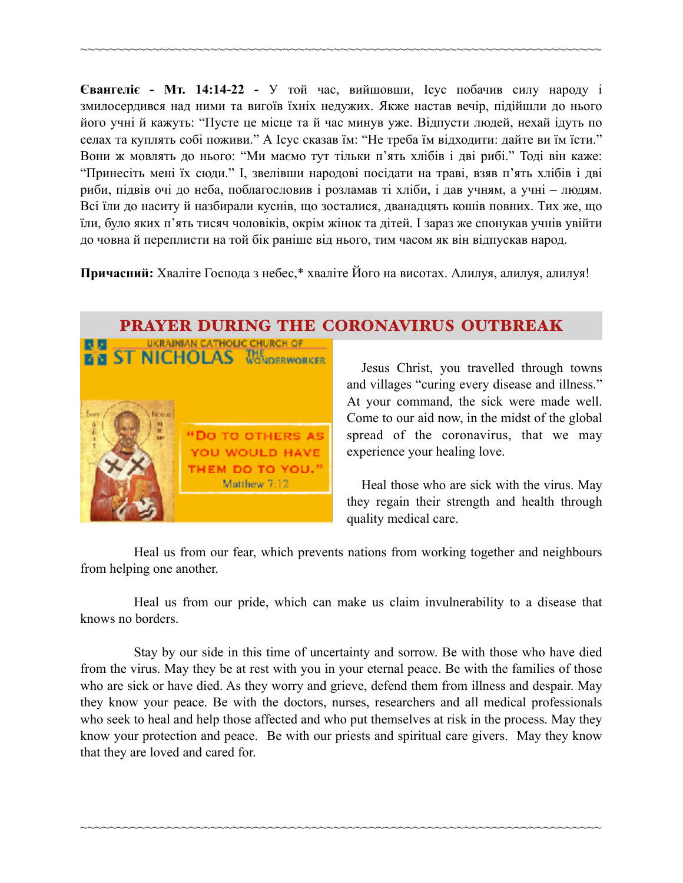**Євангеліє - Мт. 14:14-22 -** У той час, вийшовши, Ісус побачив силу народу і змилосердився над ними та вигоїв їхніх недужих. Якже настав вечір, підійшли до нього його учні й кажуть: "Пусте це місце та й час минув уже. Відпусти людей, нехай ідуть по селах та куплять собі поживи." А Ісус сказав їм: "Не треба їм відходити: дайте ви їм їсти." Вони ж мовлять до нього: "Ми маємо тут тільки п'ять хлібів і дві рибі." Тоді він каже: "Принесіть мені їх сюди." І, звелівши народові посідати на траві, взяв п'ять хлібів і дві риби, підвів очі до неба, поблагословив і розламав ті хліби, і дав учням, а учні – людям. Всі їли до наситу й назбирали куснів, що зосталися, дванадцять кошів повних. Тих же, що їли, було яких п'ять тисяч чоловіків, окрім жінок та дітей. І зараз же спонукав учнів увійти до човна й переплисти на той бік раніше від нього, тим часом як він відпускав народ.

~~~~~~~~~~~~~~~~~~~~~~~~~~~~~~~~~~~~~~~~~~~~~~~~~~~~~~~~~~~~~~~~~~~~~~~~

**Причасний:** Хваліте Господа з небес,\* хваліте Його на висотах. Алилуя, алилуя, алилуя!

## PRAYER DURING THE CORONAVIRUS OUTBREAK



Jesus Christ, you travelled through towns and villages "curing every disease and illness." At your command, the sick were made well. Come to our aid now, in the midst of the global spread of the coronavirus, that we may experience your healing love.

 Heal those who are sick with the virus. May they regain their strength and health through quality medical care.

Heal us from our fear, which prevents nations from working together and neighbours from helping one another.

Heal us from our pride, which can make us claim invulnerability to a disease that knows no borders.

Stay by our side in this time of uncertainty and sorrow. Be with those who have died from the virus. May they be at rest with you in your eternal peace. Be with the families of those who are sick or have died. As they worry and grieve, defend them from illness and despair. May they know your peace. Be with the doctors, nurses, researchers and all medical professionals who seek to heal and help those affected and who put themselves at risk in the process. May they know your protection and peace. Be with our priests and spiritual care givers. May they know that they are loved and cared for.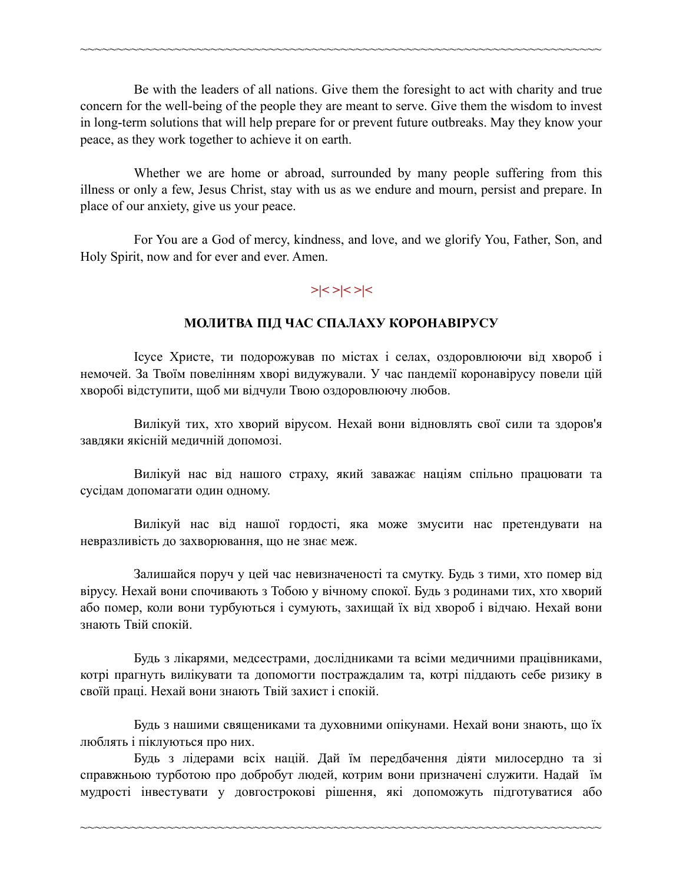Be with the leaders of all nations. Give them the foresight to act with charity and true concern for the well-being of the people they are meant to serve. Give them the wisdom to invest in long-term solutions that will help prepare for or prevent future outbreaks. May they know your peace, as they work together to achieve it on earth.

~~~~~~~~~~~~~~~~~~~~~~~~~~~~~~~~~~~~~~~~~~~~~~~~~~~~~~~~~~~~~~~~~~~~~~~~

Whether we are home or abroad, surrounded by many people suffering from this illness or only a few, Jesus Christ, stay with us as we endure and mourn, persist and prepare. In place of our anxiety, give us your peace.

For You are a God of mercy, kindness, and love, and we glorify You, Father, Son, and Holy Spirit, now and for ever and ever. Amen.

### **>|< >|< >|<**

#### **МОЛИТВА ПІД ЧАС СПАЛАХУ КОРОНАВІРУСУ**

Ісусе Христе, ти подорожував по містах і селах, оздоровлюючи від хвороб і немочей. За Твоїм повелінням хворі видужували. У час пандемії коронавірусу повели цій хворобі відступити, щоб ми відчули Твою оздоровлюючу любов.

Вилікуй тих, хто хворий вірусом. Нехай вони відновлять свої сили та здоров'я завдяки якісній медичній допомозі.

Вилікуй нас від нашого страху, який заважає націям спільно працювати та сусідам допомагати один одному.

Вилікуй нас від нашої гордості, яка може змусити нас претендувати на невразливість до захворювання, що не знає меж.

Залишайся поруч у цей час невизначеності та смутку. Будь з тими, хто помер від вірусу. Нехай вони спочивають з Тобою у вічному спокої. Будь з родинами тих, хто хворий або помер, коли вони турбуються і сумують, захищай їх від хвороб і відчаю. Нехай вони знають Твій спокій.

Будь з лікарями, медсестрами, дослідниками та всіми медичними працівниками, котрі прагнуть вилікувати та допомогти постраждалим та, котрі піддають себе ризику в своїй праці. Нехай вони знають Твій захист і спокій.

Будь з нашими священиками та духовними опікунами. Нехай вони знають, що їх люблять і піклуються про них.

Будь з лідерами всіх націй. Дай їм передбачення діяти милосердно та зі справжньою турботою про добробут людей, котрим вони призначені служити. Надай їм мудрості інвестувати у довгострокові рішення, які допоможуть підготуватися або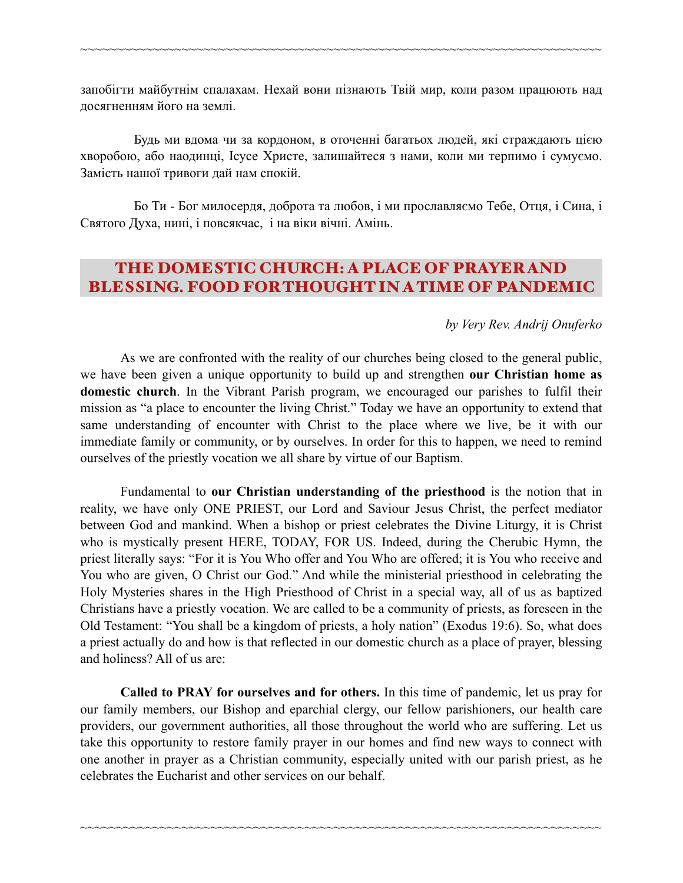запобігти майбутнім спалахам. Нехай вони пізнають Твій мир, коли разом працюють над досягненням його на землі.

~~~~~~~~~~~~~~~~~~~~~~~~~~~~~~~~~~~~~~~~~~~~~~~~~~~~~~~~~~~~~~~~~~~~~~~~

Будь ми вдома чи за кордоном, в оточенні багатьох людей, які страждають цією хворобою, або наодинці, Ісусе Христе, залишайтеся з нами, коли ми терпимо і сумуємо. Замість нашої тривоги дай нам спокій.

Бо Ти - Бог милосердя, доброта та любов, і ми прославляємо Тебе, Отця, і Сина, і Святого Духа, нині, і повсякчас, і на віки вічні. Амінь.

## THE DOMESTIC CHURCH: A PLACE OF PRAYER AND BLESSING. FOOD FOR THOUGHT IN A TIME OF PANDEMIC

#### *by Very Rev. Andrij Onuferko*

 As we are confronted with the reality of our churches being closed to the general public, we have been given a unique opportunity to build up and strengthen **our Christian home as domestic church**. In the Vibrant Parish program, we encouraged our parishes to fulfil their mission as "a place to encounter the living Christ." Today we have an opportunity to extend that same understanding of encounter with Christ to the place where we live, be it with our immediate family or community, or by ourselves. In order for this to happen, we need to remind ourselves of the priestly vocation we all share by virtue of our Baptism.

 Fundamental to **our Christian understanding of the priesthood** is the notion that in reality, we have only ONE PRIEST, our Lord and Saviour Jesus Christ, the perfect mediator between God and mankind. When a bishop or priest celebrates the Divine Liturgy, it is Christ who is mystically present HERE, TODAY, FOR US. Indeed, during the Cherubic Hymn, the priest literally says: "For it is You Who offer and You Who are offered; it is You who receive and You who are given, O Christ our God." And while the ministerial priesthood in celebrating the Holy Mysteries shares in the High Priesthood of Christ in a special way, all of us as baptized Christians have a priestly vocation. We are called to be a community of priests, as foreseen in the Old Testament: "You shall be a kingdom of priests, a holy nation" ([Exodus 19:6\)](https://biblia.com/bible/rsvce/Exod%2019.6). So, what does a priest actually do and how is that reflected in our domestic church as a place of prayer, blessing and holiness? All of us are:

**Called to PRAY for ourselves and for others.** In this time of pandemic, let us pray for our family members, our Bishop and eparchial clergy, our fellow parishioners, our health care providers, our government authorities, all those throughout the world who are suffering. Let us take this opportunity to restore family prayer in our homes and find new ways to connect with one another in prayer as a Christian community, especially united with our parish priest, as he celebrates the Eucharist and other services on our behalf.